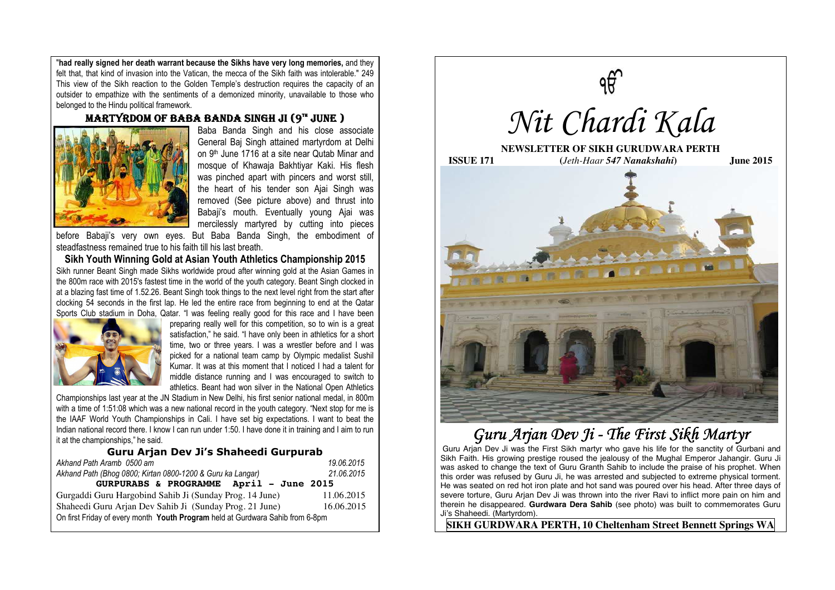"**had really signed her death warrant because the Sikhs have very long memories,** and they felt that, that kind of invasion into the Vatican, the mecca of the Sikh faith was intolerable." 249 This view of the Sikh reaction to the Golden Temple's destruction requires the capacity of an outsider to empathize with the sentiments of a demonized minority, unavailable to those who belonged to the Hindu political framework.

### MARTYRDOM OF BABA BANDA SINGH JI (9TH JUNE )



Baba Banda Singh and his close associate General Baj Singh attained martyrdom at Delhi on 9th June 1716 at a site near Qutab Minar and mosque of Khawaja Bakhtiyar Kaki. His flesh was pinched apart with pincers and worst still, the heart of his tender son Ajai Singh was removed (See picture above) and thrust into Babaji's mouth. Eventually young Ajai was mercilessly martyred by cutting into pieces

before Babaji's very own eyes. But Baba Banda Singh, the embodiment of steadfastness remained true to his faith till his last breath.

**Sikh Youth Winning Gold at Asian Youth Athletics Championship 2015**  Sikh runner Beant Singh made Sikhs worldwide proud after winning gold at the Asian Games in the 800m race with 2015′s fastest time in the world of the youth category. Beant Singh clocked in at a blazing fast time of 1.52.26. Beant Singh took things to the next level right from the start after clocking 54 seconds in the first lap. He led the entire race from beginning to end at the Qatar Sports Club stadium in Doha, Qatar. "I was feeling really good for this race and I have been



preparing really well for this competition, so to win is a great satisfaction," he said. "I have only been in athletics for a short time, two or three years. I was a wrestler before and I was picked for a national team camp by Olympic medalist Sushil Kumar. It was at this moment that I noticed I had a talent for middle distance running and I was encouraged to switch to athletics. Beant had won silver in the National Open Athletics

Championships last year at the JN Stadium in New Delhi, his first senior national medal, in 800m with a time of 1:51:08 which was a new national record in the youth category. "Next stop for me is the IAAF World Youth Championships in Cali. I have set big expectations. I want to beat the Indian national record there. I know I can run under 1:50. I have done it in training and I aim to run it at the championships," he said.

#### **Guru Arjan Dev Ji's Shaheedi Gurpurab**

| Akhand Path Aramb 0500 am                                                      | 19.06.2015 |
|--------------------------------------------------------------------------------|------------|
| Akhand Path (Bhog 0800; Kirtan 0800-1200 & Guru ka Langar)                     | 21.06.2015 |
| GURPURABS & PROGRAMME April - June 2015                                        |            |
| Gurgaddi Guru Hargobind Sahib Ji (Sunday Prog. 14 June)                        | 11.06.2015 |
| Shaheedi Guru Arjan Dev Sahib Ji (Sunday Prog. 21 June)                        | 16.06.2015 |
| On first Friday of every month Youth Program held at Gurdwara Sahib from 6-8pm |            |



# Guru Arjan Dev Ji - The First Sikh Martyr

Guru Arjan Dev Ji was the First Sikh martyr who gave his life for the sanctity of Gurbani and Sikh Faith. His growing prestige roused the jealousy of the Mughal Emperor Jahangir. Guru Ji was asked to change the text of Guru Granth Sahib to include the praise of his prophet. When this order was refused by Guru Ji, he was arrested and subjected to extreme physical torment. He was seated on red hot iron plate and hot sand was poured over his head. After three days of severe torture, Guru Arian Dev Ji was thrown into the river Ravi to inflict more pain on him and therein he disappeared. **Gurdwara Dera Sahib** (see photo) was built to commemorates Guru Ji's Shaheedi. (Martyrdom).

**SIKH GURDWARA PERTH, 10 Cheltenham Street Bennett Springs WA**